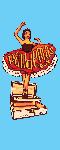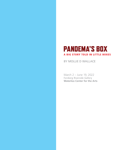## **PANDEMA'S BOX** A BIG STORY TOLD IN LITTLE BOXES

#### BY MOLLIE D WALLACE

March 2 – June 19, 2022 Forsberg Riverside Gallery **Waterloo Center for the Arts**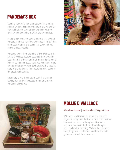# **PANDEMA'S BOX**

Opening Pandora's Box is a metaphor for creating endless trouble. Inspired by Pandora, the Pandema's Box exhibit is the story of how we dealt with the great trouble beginning in 2020, the coronavirus.

In the Greek myth, the gods create the first woman, Pandora, and give her a box with special "gifts" that she must not open. She opens it anyway and out comes endless trouble.

Pandema comes from the mind of Des Moines artist Mollie D Wallace. Wallace assumed there would be just a handful of boxes and that the pandemic would be over by summer 2020. Now two years later, there are more than two dozen. Each deals with a specific story of the pandemic, from hoarding toilet paper to the great mask debate.

Each story is told in miniature, each in a vintage jewelry box, and each created in real time as the pandemic played out.





#### @molliewallaceart | molliewallace05@gmail.com

WALLACE is a Des Moines native and earned a degree in design and illustration from Pratt Institute. Her work can be seen throughout Des Moines and New Orleans in the form of murals, signs and merchandise branding. Wallace has designed everything from bike helmets and food trucks to guitars and Mardi Gras costumes.

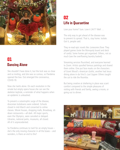

#### 01 **Dancing Alone**

She shouldn't have done it, but the lock was so close and so inviting, and she was so curious, so Pandema opened the box. Out emerged the coronavirus, COVID-19.

Now she twirls alone. On each revolution in the ornate but empty opera house she can see the skeleton keyhole, a reminder of what happens when an epidemic is unleashed.

To prevent a catastrophic surge of the disease, draconian lockdowns were ordered. Schools closed in mid-March and converted to online classes. Movie houses, shopping malls, Broadway, sitdown restaurants—all dark. All major sports, even the Olympics, were canceled or delayed. Libraries, national parks, museums, all closed. All of it unprecedented.

So Pandema continues to twirl for an empty house – she's the only moving character in all the boxes – and wonders, is there an end to this?

## 02 **Life in Quarantine**

Love your home? Sure. Love it 24/7? Well …

The only way to get ahead of the disease was to prevent its spread. That is, stay home. Isolate. Got it, people said.

They re-read epic novels like *Lonesome Dove*. They played games (note the Monopoly board and deck of cards). Some homes got organized. Others, not so much (see the overflowing laundry basket).

Streaming services flourished, and everyone learned to Zoom. Artists spoofed famous paintings and shared them online. One put face masks on the characters of Grant Wood's American Gothic, another had Jesus dining alone in da Vinci's *Last Supper*. Others taught the cat to ride the Roomba.

But being creative at sheltering in place was scant comfort compared to the simple pleasures of visiting with friends and family, seeing a movie, or going out to dinner.

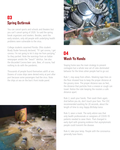## 03 **Spring Outbreak**

You can cancel sports and schools and theaters but you can't cancel spring of 2020. So said the spring break organizers and revelers. Besides, went the early wisdom, only old people with underlying health problems were vulnerable to the virus.

College students swarmed Florida. Ohio student Brady Sluder famously declared, "If I get corona, I get corona. I'm not going to let it stop me from partying." So they partied. Note the warnings from an Italian newspaper amidst the "beach" detritus. See also the discarded Corona beer cans. Beer, of course, had nothing to do with the pandemic.

Thousands of people found themselves adrift at sea. Dozens of cruise ships were denied entry at port after port because some passengers had the virus. Note the ships at sea on the box's front inside panel.





#### **N4 Wash Yo Hands**

Staying home was the main strategy to prevent contagion but a whole new set of rules dominated behavior for the times when people had to go out.

Rule 1, stay away from others. Masking tape lines on the floor showed how to keep the proper distance at the grocery store. The proper distance was six feet, the distance that particles from a sneeze or cough can travel. Notice the ruler keeping the roosters a safe distance apart.

Rule 2, wash your hands. Then wash them again. And before you do, don't touch your face. The CDC recommended washing for 20 seconds, about the length of time to sing Happy Birthday twice.

Rule 3, wear a mask. The early advice was that only health professionals or caregivers of COVID-19 patients needed to wear them. That changed in early April with growing evidence that asymptomatic people could transmit the disease.

Rule 4, take your temp. People with the coronavirus generally have fevers.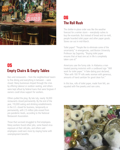

## 05 **Empty Chairs & Empty Tables**

Bars and restaurants – from the neighborhood tavern to fine dining and everything in between – were closed. Many businesses limped through the crisis by offering takeout or outdoor seating, and others were kept afloat by federal loans that were forgiven if owners could show support for workers.

Others pulled the plug. By late July, nearly 16,000 restaurants closed permanently. By the end of the year, 110,000 eating and drinking establishments in the U.S. closed for business, temporarily or permanently, with 2.5 million jobs erased from pre-pandemic levels, according to the National Restaurant Association.

Those that survived struggled to find employees. Many workers found other jobs, some feared virus exposure at their old jobs, and others said employees could earn more by staying home with unemployment benefits.

## 06 **The Roll Rush**

The shelter-in-place order was like the weather forecast for a winter storm – everybody rushes to buy the essentials. But instead of bread and ice-melt, people hoarded toilet paper and other paper goods. Stores ran out in mid-March.

Toilet paper? "People like to eliminate some of the uncertainty" in emergencies, said Boston University Professor Jay Zagorsky. "Buying toilet paper ensures that at least one act in life is completely taken care of."

Americans saw the funny side. In Alabama a man treated passing motorists with a cardboard sign "Will work for toilet paper." A fake dating post declared, "Man with 100 TP rolls seeks woman with generous, amounts of hand sanitizer for good clean fun."

In this box, rolls of toilet paper, made from felt, are equated with fine jewelry and rare coins.

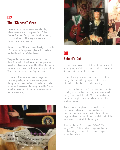## 07 **The "Chinese" Virus**

Presented with a drumbeat of ever alarming advice to act as the virus spread from China to Europe, President Trump downplayed the threat, calling it a hoax and blaming the media and Democrats for exaggeration.

He also blamed China for the outbreak, calling it the "Chinese Virus" despite complaints that the label resulted in racist anti-Asian threats.

The president advocated the use of unproven drugs for treating the disease. Health experts and bleach suppliers were alarmed in mid-April when he appeared to suggest injections of cleaning solutions. Trump said he was just spoofing reporters.

In this box, Trump's tweets are portrayed as fortunes spewing from fortune cookies, often thought to originate in China. Actually the cookie is an American creation famously served in Chinese-American restaurants (note the restaurant scene on the lower level).





### 08 **School's Out**

The pandemic forced a near-total shutdown of schools in the spring of 2020 – an unprecedented upheaval of K-12 education in the United States.

Remote learning took over and some kids liked the change. Less intimidating to participate in class. Others felt isolated or had trouble focusing.

There were other impacts. Parents who had essential on-site jobs had to find somebody who could watch young homebound students. Meals for disadvantaged kids were disrupted, so some schools offered drive-up food giveaways.

And still more disruption. Proms, teacher-parent conferences, school sports, and graduations were canceled or performed online. Even outdoor playgrounds were roped off due to early fears that the virus could attach itself to the swing set.

It was a little like Alice Cooper's School's Out song of 1972. But instead of being an anthem for the beginning of summer, the pandemic impact seemed unending.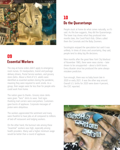

#### 09 **Fssential Workers**

The stay-at-home orders didn't apply to emergency room nurses. Or meatpackers, transit and package delivery drivers, Postal Service workers, and grocery store clerks. About a third of U.S. adults were identified as essential workers during the pandemic, meaning they were required to work onsite. As a group, their wages were far less than for people who could work from home.

The nation gave its thanks. Grocery store clerks were given "hero" shirts to wear. Yard signs thanking mail carriers were everywhere. Customers gave bursts of applause. Corporate messages of praise were ubiquitous.

The workers appreciated the sentiment and many were thankful to have jobs at all compared to millions of laid-off restaurant and lodging workers.

On the other hand, the burnout rate among these "essential" workers was high, especially among health providers. Many said a higher minimum wage would be better than a round of applause.

## 10 Do the Quarantango

People stuck at home do what comes naturally, so it's said. As this box suggests, they did the Quarantango. The lower tray shows what they produced nine months later, the Covid Patch Kids. Others called them the Coronials and the Baby Zoomers.

Sociologists enjoyed the speculation but said it was unlikely. In times of stress and uncertainty, they said, people tend to delay big life decisions.

Nine months after the great New York City blackout of November 1965, there were news stories – later shown to be unsupported – about a birth boom. Every disaster since has produced the same alwaysmistaken prediction.

Sure enough, there was no baby boom late in 2020 or early 2021. It was the other way around. Overall U.S. births for 2020 were down 4 percent, the CDC reported.

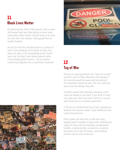## 11 **Black Lives Matter**

On Memorial Day 2020 in Minneapolis, forty-six-yearold George Floyd was killed during an arrest when white police officer Dereck Chauvin knelt on his neck for more than nine minutes. Floyd gasped that he couldn't breathe.

He was far from the only Black person or person of color to die needlessly at the hands of police. But when the video of the astonishingly brutal "arrest" went viral, the Black Lives Matter protests (while it had already gained traction – not to mention, controversy) exploded into a mainstream movement.





## 12 **Tug of War**

Pressure to relax quarantines and "open the country" started to grow in May. Advocates said damage to the economy would be severe and long lasting if the clampdown lasted too long. The cure cannot be worse than the disease, they said.

Scientists warned that premature relaxation could cause the disease to roar back. If you think it's hard now, they said, think how hard it will be if a second wave forces you to re-impose quarantines.

In this box an old-fashioned tug of war is playing out between two summer camps: Camp Healthicaca and Camp Economanoma.

Policy makers did their best to take both sides, keeping health mandates in place while softening the impact of those rules by extending unemployment benefits, creating eviction moratoriums, incenting businesses not to lay off workers, and providing stimulus cash to most Americans.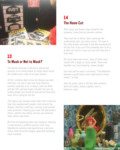

## 13 **To Mask or Not to Mask?**

The Hamlet character in this box is asking that question as he stands before an empty opera house, the unfilled seats made of red pipe cleaners.

At first, scientists didn't know the disease was uber infectious, nor was it clear how long infectious particles could last in air. In March, both the WHO and the CDC said face masks shouldn't be worn by healthy people and should be reserved for those who were sick or caring for the sick.

That advice was reversed weeks later when it became clear that asymptomatic people could transmit the disease, and that a cloth face covering could provide some protection. Wearing your mask will help protect others, said the new advice, and you get protected when others wear theirs.

But from the beginning there was resistance. Wearing a mask became a political question, with many Republicans claiming mask-wearing was a personal choice while Democrats largely supported mandatory mask mandates.

## 14 **The Home Cut**

With salons and barber shops closed for the pandemic, home haircuts became common.

There was lots of advice. Start cautiously, the professionals said. Use sharp scissors. The ones in the utility drawer will make it look like somebody bit off your hair. If you can't find somebody else to do it, at least use mirrors so you can see more than just a front view.

Of course there were errors, many of which were shared with a laugh on social media. There were lopsided cuts, harsh layering, uneven lengths.

One man said he wasn't concerned. "The difference between a good haircut and a bad haircut is three weeks," he said.

Note the parlor scene in this box with miniature electrical outlets, beauty supplies, even a bathroom scale.

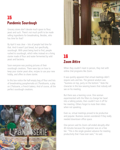## 15 **Pandemic Sourdough**

Grocery stores don't devote much space to flour, yeast and such. There's not much profit to be made selling ingredients for breadmaking. Besides, who has time for that?

By April it was clear – lots of people had time for that. And it wasn't just bread, but specifically, sourdough. With yeast being hard to find, people rushed to sourdough, which relies instead on a living starter made of flour and water fermented by wild yeast and bacteria.

Soon everyone was posting pictures of their sourdough creations. There were tips on how to keep your starter yeast alive, recipes to use your new hobby, and offers to share starter.

In this box notice the half-empty bag of flour and lots of breadmaking paraphernalia at L'Pandisserie, a play on L'Patisserie, a French bakery. And of course, all the perfect sourdough creations.





### 16 **Zoom Attire**

When they couldn't meet in person, they met with online chat programs like Zoom.

It was quickly apparent that virtual meetings didn't require suits and ties. The general wisdom was "business on top, party on the bottom." Note the character in this box wearing boxers that nobody will see on his meeting.

But there was a learning curve. One woman experimented with the filters to change her head into a talking potato, then couldn't turn it off for her meeting. Others forgot to mute their mikes when not speaking.

Even so, virtual meetings proved to be productive and popular. Business owners wondered if they really needed downtown office space.

One person said his Zoom call ended abruptly after 40 minutes because the organizer was on a free tier. "This is the single greatest advance for meeting productivity that I have ever seen," he said.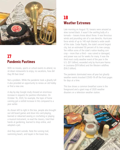

### 17 **Pandemic Pastimes**

With no movies, sports or school events to attend, no sit-down restaurants to enjoy, no vacations, how did they fill their time?

Not a problem. While the pandemic took a ghastly toll it also provided an opportunity to renew an old hobby or find a new one.

A day-by-day Google study showed an enormous increase in requests for pastime information. On October 16, 2020, for example, the topic of home canning got a sixfold increase in hits compared to a year earlier.

As shown left to right in this box, people also brought out old board games and dove into card-playing, learned or relearned sewing or crocheting or playing a musical instrument, re-read the classics, tried their hands at gardening, learned to shop online, and adopted a pet.

And they went outside. Note the running trail, swimming beach, and kayak in the lower box.

## 18 **Weather Extremes**

Late morning on August 10, Iowans were amazed as skies turned black. It wasn't the swirling bully of a tornado – Iowans know about those. It was ferocious winds and pounding rain of a rare derecho. Hurricane force winds of up to 140 mph blasted a wide swath of the state. Cedar Rapids, the state's second largest city, lost an estimated 50 percent of its tree canopy. Ten million acres of the state's nation-leading corn crop – more than a third – was ruined or damaged, and power was out for weeks for many. It was the third most costly weather event of the year in the U.S. (\$11 billion), exceeded only by Hurricane Hanna in Louisiana (\$19 billion) and the Western wildfires (\$16.5 billion).

The pandemic dominated news all year but ghastly weather events knocked COVID-19 off the front pages for days at a time.

This box shows a common breakfast scene in the foreground and a giant map of 2020 weather disasters on a television weather station.

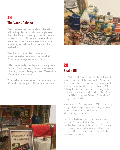## 19 **The Vacci-Cabana**

The long-awaited vaccines rolled out in December, with health professionals and elderly people being first in line. Those lucky enough to get the jab were ecstatic. Doctors could treat their patients without fear of getting the virus themselves. After months of isolation, people in nursing homes could finally receive visitors.

The rollout was hectic. Health departments sometimes received fewer doses than promised. Computer sign-up systems were confusing.

Millennials frantically signed up their boomer parents for shots. One wag wrote, "I bet you 100 shares of Pfizer Inc., that behind every vaccinated 70-year-old is a 30-year-old on an iPhone."

With vaccination came a sense of privilege. Note the 50's era lounge that you could visit if you had the jab.





## $20$ **Snake Oil**

The World Health Organization calls the explosion of misinformation about the pandemic the "infodemic." A politician in India said that drinking cow urine and applying cow dung on the body could cure COVID. But only if Indian cows were used. Televangelist Jim Bakker sold a concoction called "Silver Solution" to prevent COVID, charging a "donation" of up to \$125. He agreed to refunds.

More examples: You can prevent COVID, or cure it, by taking hot baths, ingesting bleach, eating enormous amounts of garlic, or using asthma nebulizers to inhale hydrogen peroxide.

Note the collection of concoctions, salves, vitamins, and other "cures" in this box. And a hair dryer. A Florida official announced that to cure COVID, all you need to do is inhale, with your nose, hot air from a hair dryer. Needless to say, it doesn't work. And it could injure your nose.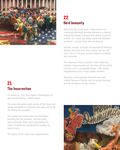

## 21 **The Insurrection**

On January 6, 2021, the Capitol in Washington D.C. was stormed during a violent attack.

The attack disrupted a joint session of the House and Senate assembled to count electoral votes and certify the election for president.

The Capitol was locked down and lawmakers, including the vice president, and their staffs were evacuated. Police were overwhelmed as rioters occupied and vandalized the building for several hours.

The attack on the Capitol was unprecedented.

## 22 **Herd Immunity**

Herd immunity occurs when a large portion of a community (the herd) becomes immune to a disease, making the spread of disease from person to person unlikely. As a result, the whole community becomes protected – not just those who are immune.

Measles, mumps, and polio are examples of infectious diseases that were once very common but are now rare in the U.S. because vaccines helped to establish herd immunity.

The consensus among scientists is that rather than making a long-promised exit, the virus will most likely continue to be a manageable threat – still causing hospitalizations but in much smaller numbers.

Reaching a herd immunity threshold now looks unlikely because of factors such as vaccine hesitancy and the emergence of new variants.

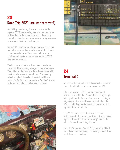# 23 Road Trip 2021 (are we there yet?)

As 2021 got underway, it looked like the battle against COVID was making headway. Vaccines were highly effective. Restrictions on social distancing started to relax. Stores, restaurants, sporting events – all started to feature actual people.

But COVID wasn't done. Viruses that aren't stamped out will mutate, and new variants struck hard. Back came the social restrictions, more debate about vaccines and masks, more hospitalizations. COVID fatigue was common.

The billboards in this box show the whiplash-like impact of this on-again, off-again, on-again disease. The folded roadmap on the dash shows states with mask mandates and those without. The steering wheel is a plastic bracelet, the windshield is the cover of a Swiffer pad box, and the "leather" interior surfaces are made from vinyl eyeglass cases. In this box, the airport terminal is deserted, as many





#### 24 **Terminal C**

were when COVID burst on the scene in 2020.

Like other viruses, COVID mutates to different forms. First identified in Wuhan, China, many people initially referred to it as the Chinese virus, leading to stigma against people of Asian descent. Thus, the World Health Organization decided to use the Greek alphabet to track variants.

The WHO reasoned countries would be more forthcoming to disclose a new strain if it were named Sigma or Rho rather than the country's name. The letters Nu and Xi are being skipped.

Note the "departures/arrivals" sign showing COVID variants coming and going. The fencing is made from mesh from an onion bag.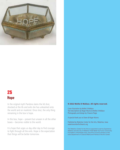

## 25 **Hope**

In the original myth Pandora slams the lid shut, shocked at the ills and evils she has unleashed onto the world and on mankind. Once shut, the only thing remaining in the box is hope.

In this box, hope – present but unseen in all the other boxes – becomes visible to the world.

It is hope that urges us day after day to find courage to fight through all the evils. Hope is the expectation that things will be better tomorrow.

#### **© 2022 Mollie D Wallace. All rights reserved.**

Cover illustration by Mollie D Wallace Text descriptions by Roger Munns & Mollie D Wallace Photography and design by Chawne Paige

A special thank you to Diane & Roger Munns

Published by Waterloo Center for the Arts, Waterloo, Iowa waterloocenterforthearts.org

The Waterloo Center for the Arts is supported in part by Experience Waterloo and the City of Waterloo Hotel-Motel Tax Fund, Community Foundation of Northeast Iowa, Iowa Arts Council (a division of the Iowa Department of Cultural Affairs) and Friends of the Art Center.